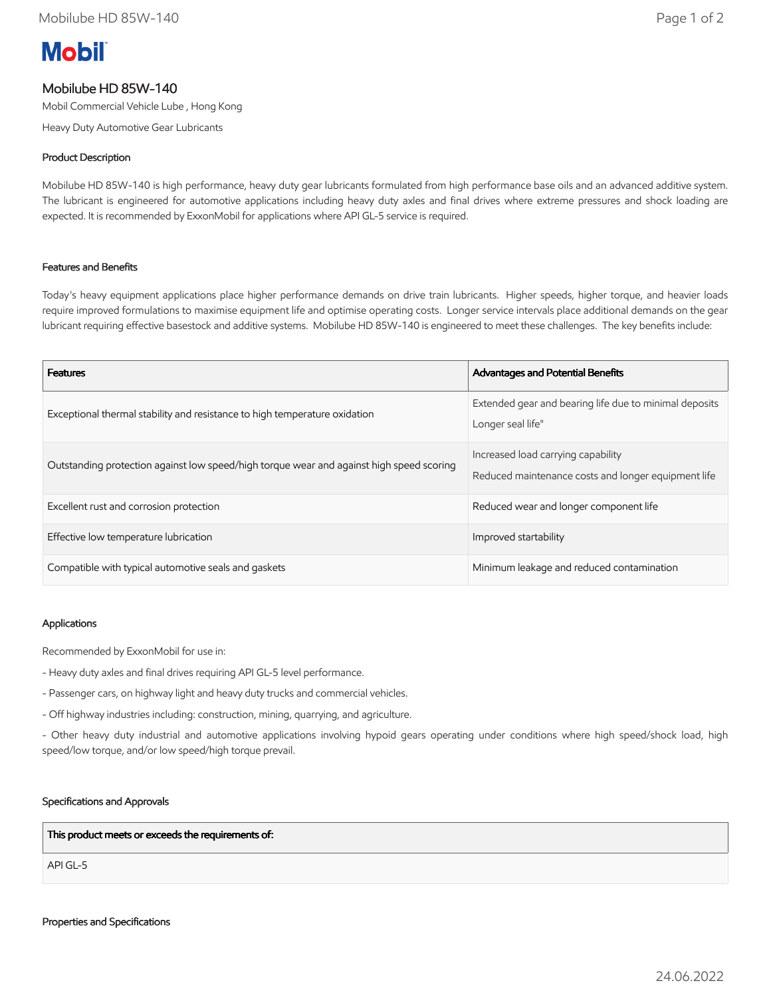# **Mobil**

## Mobilube HD 85W-140

Mobil Commercial Vehicle Lube , Hong Kong

Heavy Duty Automotive Gear Lubricants

### Product Description

Mobilube HD 85W-140 is high performance, heavy duty gear lubricants formulated from high performance base oils and an advanced additive system. The lubricant is engineered for automotive applications including heavy duty axles and final drives where extreme pressures and shock loading are expected. It is recommended by ExxonMobil for applications where API GL-5 service is required.

#### Features and Benefits

Today's heavy equipment applications place higher performance demands on drive train lubricants. Higher speeds, higher torque, and heavier loads require improved formulations to maximise equipment life and optimise operating costs. Longer service intervals place additional demands on the gear lubricant requiring effective basestock and additive systems. Mobilube HD 85W-140 is engineered to meet these challenges. The key benefits include:

| <b>Features</b>                                                                          | <b>Advantages and Potential Benefits</b>                                                  |
|------------------------------------------------------------------------------------------|-------------------------------------------------------------------------------------------|
| Exceptional thermal stability and resistance to high temperature oxidation               | Extended gear and bearing life due to minimal deposits<br>Longer seal life"               |
| Outstanding protection against low speed/high torque wear and against high speed scoring | Increased load carrying capability<br>Reduced maintenance costs and longer equipment life |
| Excellent rust and corrosion protection                                                  | Reduced wear and longer component life                                                    |
| Effective low temperature lubrication                                                    | Improved startability                                                                     |
| Compatible with typical automotive seals and gaskets                                     | Minimum leakage and reduced contamination                                                 |

#### Applications

Recommended by ExxonMobil for use in:

- Heavy duty axles and final drives requiring API GL-5 level performance.
- Passenger cars, on highway light and heavy duty trucks and commercial vehicles.
- Off highway industries including: construction, mining, quarrying, and agriculture.

- Other heavy duty industrial and automotive applications involving hypoid gears operating under conditions where high speed/shock load, high speed/low torque, and/or low speed/high torque prevail.

#### Specifications and Approvals

This product meets or exceeds the requirements of:

API GL-5